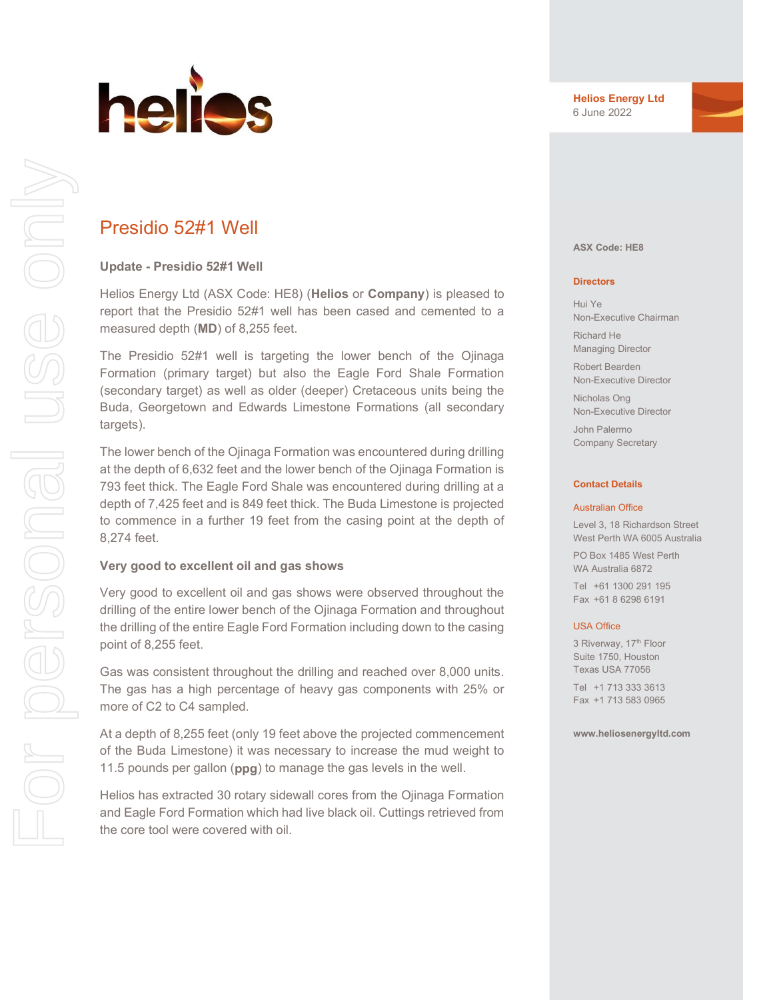

# Presidio 52#1 Well

### Update - Presidio 52#1 Well

Helios Energy Ltd (ASX Code: HE8) (Helios or Company) is pleased to report that the Presidio 52#1 well has been cased and cemented to a measured depth (MD) of 8,255 feet.

The Presidio 52#1 well is targeting the lower bench of the Ojinaga Formation (primary target) but also the Eagle Ford Shale Formation (secondary target) as well as older (deeper) Cretaceous units being the Buda, Georgetown and Edwards Limestone Formations (all secondary targets).

The lower bench of the Ojinaga Formation was encountered during drilling at the depth of 6,632 feet and the lower bench of the Ojinaga Formation is 793 feet thick. The Eagle Ford Shale was encountered during drilling at a depth of 7,425 feet and is 849 feet thick. The Buda Limestone is projected to commence in a further 19 feet from the casing point at the depth of 8,274 feet.

#### Very good to excellent oil and gas shows

Very good to excellent oil and gas shows were observed throughout the drilling of the entire lower bench of the Ojinaga Formation and throughout the drilling of the entire Eagle Ford Formation including down to the casing point of 8,255 feet.

Gas was consistent throughout the drilling and reached over 8,000 units. The gas has a high percentage of heavy gas components with 25% or more of C2 to C4 sampled.

At a depth of 8,255 feet (only 19 feet above the projected commencement of the Buda Limestone) it was necessary to increase the mud weight to 11.5 pounds per gallon (ppg) to manage the gas levels in the well.

Helios has extracted 30 rotary sidewall cores from the Ojinaga Formation and Eagle Ford Formation which had live black oil. Cuttings retrieved from the core tool were covered with oil.

ASX Code: HE8

#### **Directors**

Hui Ye Non-Executive Chairman Richard He Managing Director

Robert Bearden Non-Executive Director

Nicholas Ong Non-Executive Director

John Palermo Company Secretary

#### Contact Details

#### Australian Office

Level 3, 18 Richardson Street West Perth WA 6005 Australia

PO Box 1485 West Perth WA Australia 6872

Tel +61 1300 291 195 Fax +61 8 6298 6191

#### USA Office

3 Riverway, 17th Floor Suite 1750, Houston Texas USA 77056 Tel +1 713 333 3613 Fax +1 713 583 0965

www.heliosenergyltd.com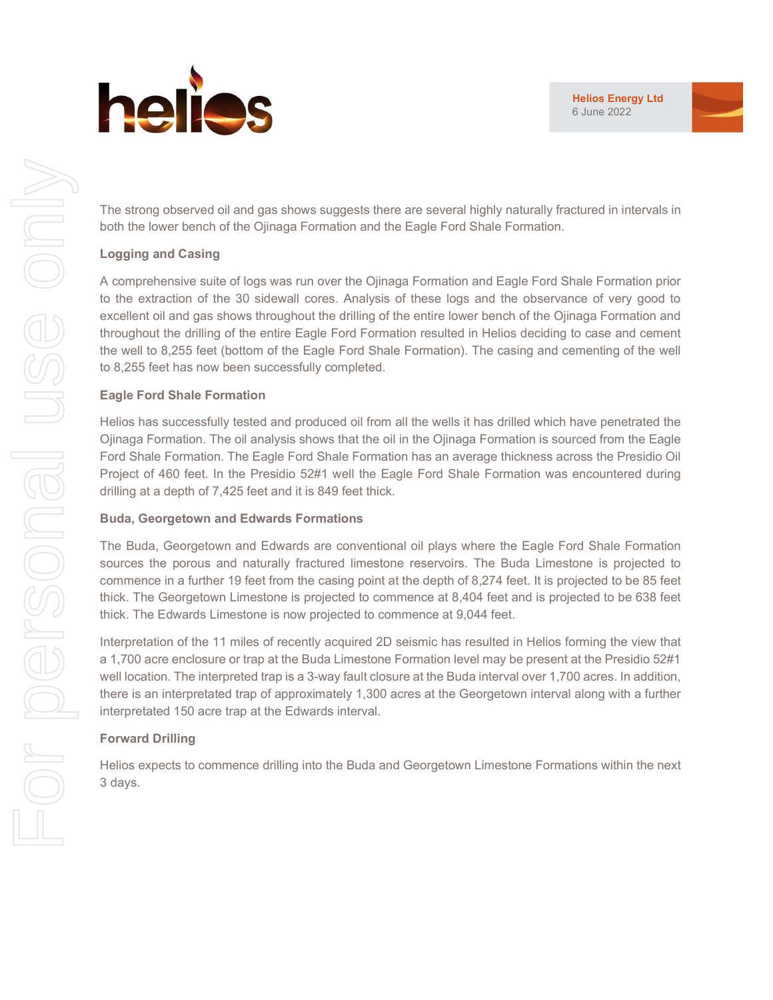

The strong observed oil and gas shows suggests there are several highly naturally fractured in intervals in both the lower bench of the Ojinaga Formation and the Eagle Ford Shale Formation.

# Logging and Casing

A comprehensive suite of logs was run over the Ojinaga Formation and Eagle Ford Shale Formation prior to the extraction of the 30 sidewall cores. Analysis of these logs and the observance of very good to excellent oil and gas shows throughout the drilling of the entire lower bench of the Ojinaga Formation and throughout the drilling of the entire Eagle Ford Formation resulted in Helios deciding to case and cement the well to 8,255 feet (bottom of the Eagle Ford Shale Formation). The casing and cementing of the well to 8,255 feet has now been successfully completed.

# Eagle Ford Shale Formation

Helios has successfully tested and produced oil from all the wells it has drilled which have penetrated the Ojinaga Formation. The oil analysis shows that the oil in the Ojinaga Formation is sourced from the Eagle Ford Shale Formation. The Eagle Ford Shale Formation has an average thickness across the Presidio Oil Project of 460 feet. In the Presidio 52#1 well the Eagle Ford Shale Formation was encountered during drilling at a depth of 7,425 feet and it is 849 feet thick.

### Buda, Georgetown and Edwards Formations

The Buda, Georgetown and Edwards are conventional oil plays where the Eagle Ford Shale Formation sources the porous and naturally fractured limestone reservoirs. The Buda Limestone is projected to commence in a further 19 feet from the casing point at the depth of 8,274 feet. It is projected to be 85 feet thick. The Georgetown Limestone is projected to commence at 8,404 feet and is projected to be 638 feet thick. The Edwards Limestone is now projected to commence at 9,044 feet.

Interpretation of the 11 miles of recently acquired 2D seismic has resulted in Helios forming the view that a 1,700 acre enclosure or trap at the Buda Limestone Formation level may be present at the Presidio 52#1 well location. The interpreted trap is a 3-way fault closure at the Buda interval over 1,700 acres. In addition, there is an interpretated trap of approximately 1,300 acres at the Georgetown interval along with a further interpretated 150 acre trap at the Edwards interval.

# Forward Drilling

Helios expects to commence drilling into the Buda and Georgetown Limestone Formations within the next 3 days.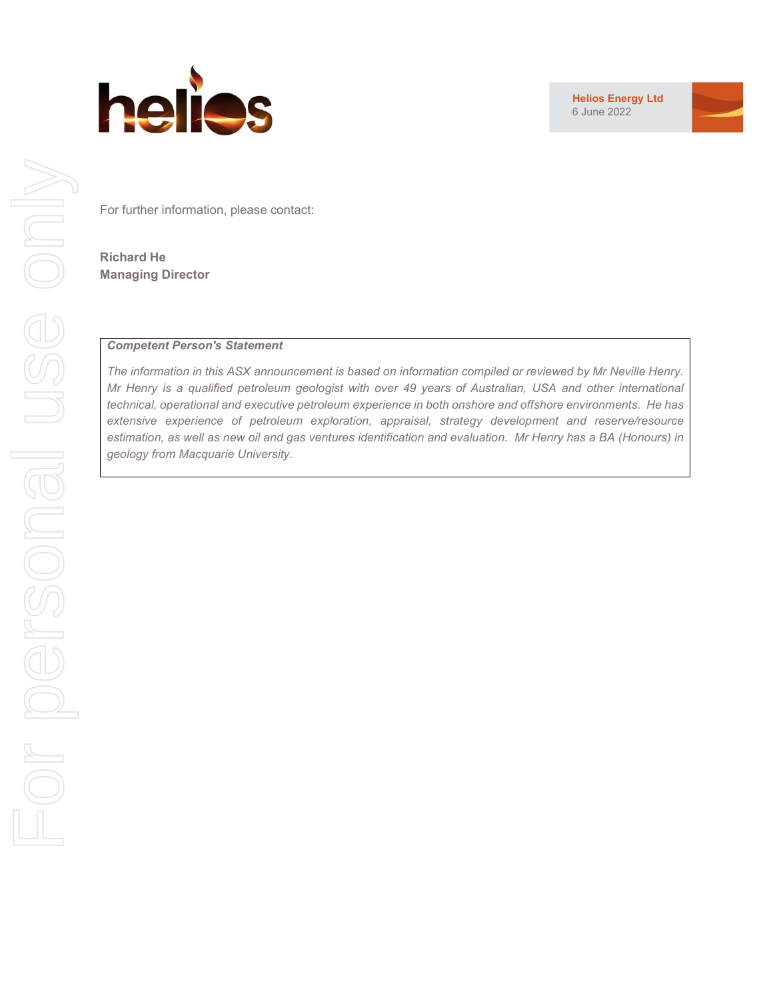

Helios Energy Ltd 6 June 2022



For further information, please contact:

Richard He Managing Director

### Competent Person's Statement

The information in this ASX announcement is based on information compiled or reviewed by Mr Neville Henry. Mr Henry is a qualified petroleum geologist with over 49 years of Australian, USA and other international technical, operational and executive petroleum experience in both onshore and offshore environments. He has extensive experience of petroleum exploration, appraisal, strategy development and reserve/resource estimation, as well as new oil and gas ventures identification and evaluation. Mr Henry has a BA (Honours) in geology from Macquarie University.